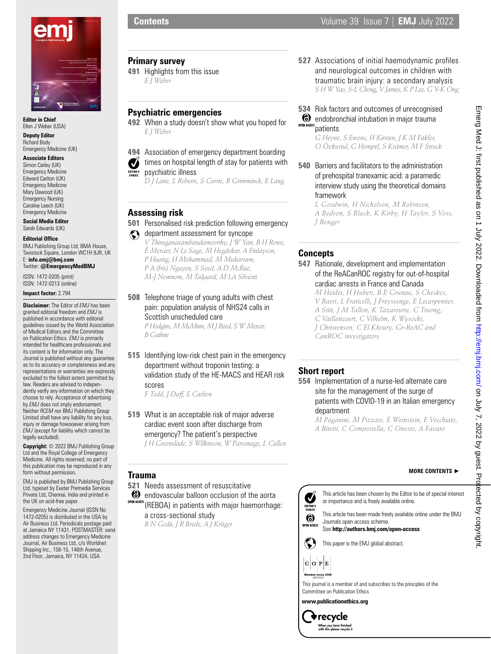

**Editor in Chief** Ellen J Weber (USA)

**Deputy Editor** Richard Body Emergency Medicine (UK)

**Associate Editors** Simon Carley (UK) Emergency Medicine Edward Carlton (UK) Emergency Medicine Mary Dawood (UK) Emergency Nursing Caroline Leech (UK)

Emergency Medicine **Social Media Editor**

Sarah Edwards (UK) **Editorial Office**

BMJ Publishing Group Ltd, BMA House, Tavistock Square, London WC1H 9JR, UK E: **info.emj@bmj.com** Twitter: **@EmergencyMedBMJ**

ISSN: 1472-0205 (print) ISSN: 1472-0213 (online)

**Impact factor:** 2.794

**Disclaimer:** The Editor of *EMJ* has been granted editorial freedom and *EMJ* is published in accordance with editorial guidelines issued by the World Association of Medical Editors and the Committee on Publication Ethics. *EMJ* is primarily intended for healthcare professionals and its content is for information only. The Journal is published without any guarantee as to its accuracy or completeness and any representations or warranties are expressly excluded to the fullest extent permitted by law. Readers are advised to independently verify any information on which they choose to rely. Acceptance of advertising by *EMJ* does not imply endorsement. Neither *RCEM* nor BMJ Publishing Group Limited shall have any liability for any loss, injury or damage howsoever arising from *EMJ* (except for liability which cannot be legally excluded).

**Copyright:** © 2022 BMJ Publishing Group Ltd and the Royal College of Emergency Medicine. All rights reserved; no part of this publication may be reproduced in any form without permission.

EMJ is published by BMJ Publishing Group Ltd, typeset by Exeter Premedia Services Private Ltd, Chennai, India and printed in the UK on acid-free paper.

Emergency Medicine Journal (ISSN No 1472-0205) is distributed in the USA by Air Business Ltd. Periodicals postage paid at Jamaica NY 11431. POSTMASTER: send address changes to Emergency Medicine Journal, Air Business Ltd, c/o Worldnet Shipping Inc., 156-15, 146th Avenue, 2nd Floor, Jamaica, NY 11434, USA.

**Primary survey**

**491** Highlights from this issue *E J Weber*

# **Psychiatric emergencies**

**492** When a study doesn't show what you hoped for *E J Weber*

**494** Association of emergency department boarding times on hospital length of stay for patients with Ø psychiatric illness

*D J Lane, L Roberts, S Currie, R Grimminck, E Lang*

## **Assessing risk**

- **501** Personalised risk prediction following emergency complete department assessment for syncope
	- *V Thiruganasambandamoorthy, J W Yan, B H Rowe, É Mercier, N Le Sage, M Hegdekar, A Finlayson, P Huang, H Mohammad, M Mukarram, P A (Iris) Nguyen, S Syed, A D McRae, M-J Nemnom, M Taljaard, M LA Silviotti*

**508** Telephone triage of young adults with chest pain: population analysis of NHS24 calls in Scottish unscheduled care *P Hodgins, M McMinn, M J Reed, S W Mercer, B Guthrie*

**515** Identifying low-risk chest pain in the emergency department without troponin testing: a validation study of the HE-MACS and HEAR risk scores

*F Todd, J Duff, E Carlton*

**519** What is an acceptable risk of major adverse cardiac event soon after discharge from emergency? The patient's perspective *J H Greenslade, S Wilkinson, W Parsonage, L Cullen*

## **Trauma**

**521** Needs assessment of resuscitative

 $\bullet$  endovascular balloon occlusion of the aorta

- OPEN ACCESS CITED LITED TO THE TREAD OF THE CITED THAT ACCESS (REBOA) in patients with major haemorrhage: a cross-sectional study
	- *B N Godø, J R Brede, A J Krüger*

**527** Associations of initial haemodynamic profiles and neurological outcomes in children with traumatic brain injury: a secondary analysis *S H W Yao, S-L Chong, V James, K P Lee, G Y-K Ong*

## **534** Risk factors and outcomes of unrecognised **6** endobronchial intubation in major trauma OPEN ACCESS Datients

*G Heyne, S Ewens, H Kirsten, J K M Fakler, O Özkurtul, G Hempel, S Krämer, M F Struck*

**540** Barriers and facilitators to the administration of prehospital tranexamic acid: a paramedic interview study using the theoretical domains framework

*L Goodwin, H Nicholson, M Robinson, A Bedson, S Black, K Kirby, H Taylor, S Voss, J Benger*

## **Concepts**

**547** Rationale, development and implementation of the ReACanROC registry for out-of-hospital cardiac arrests in France and Canada

*M Heidet, H Hubert, B E Grunau, S Cheskes, V Baert, L Fraticelli, J Freyssenge, E Lecarpentier, A Stitt, J M Tallon, K Tazarourte, C Truong, C Vaillancourt, C Vilhelm, K Wysocki, J Christenson, C El Khoury, Gr-ReAC and CanROC investigators*

## **Short report**

**554** Implementation of a nurse-led alternate care site for the management of the surge of patients with COVID-19 in an Italian emergency department

*M Paganini, M Pizzato, E Weinstein, E Vecchiato, A Bitetti, C Compostella, C Onesto, A Favaro*

#### **MORE CONTENTS** ►

This article has been chosen by the Editor to be of special interest Ø or importance and is freely available online. EDITOR'S

This article has been made freely available online under the BMJ Journals open access scheme.

See **http://authors.bmj.com/open-access**

 $\epsilon$ This paper is the EMJ global abstract.

 $C$   $O$   $P$   $E$ 

6



**www.publicationethics.org**